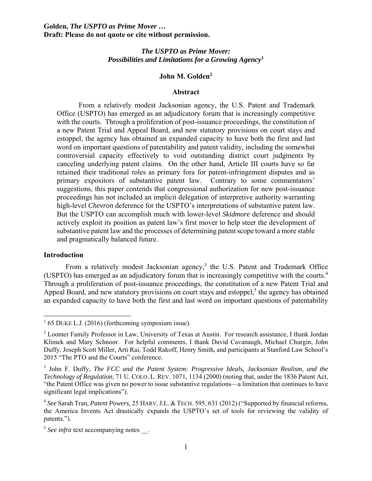### *The USPTO as Prime Mover: Possibilities and Limitations for a Growing Agency***<sup>1</sup>**

#### **John M. Golden2**

#### **Abstract**

From a relatively modest Jacksonian agency, the U.S. Patent and Trademark Office (USPTO) has emerged as an adjudicatory forum that is increasingly competitive with the courts. Through a proliferation of post-issuance proceedings, the constitution of a new Patent Trial and Appeal Board, and new statutory provisions on court stays and estoppel, the agency has obtained an expanded capacity to have both the first and last word on important questions of patentability and patent validity, including the somewhat controversial capacity effectively to void outstanding district court judgments by canceling underlying patent claims. On the other hand, Article III courts have so far retained their traditional roles as primary fora for patent-infringement disputes and as primary expositors of substantive patent law. Contrary to some commentators' suggestions, this paper contends that congressional authorization for new post-issuance proceedings has not included an implicit delegation of interpretive authority warranting high-level *Chevron* deference for the USPTO's interpretations of substantive patent law. But the USPTO can accomplish much with lower-level *Skidmore* deference and should actively exploit its position as patent law's first mover to help steer the development of substantive patent law and the processes of determining patent scope toward a more stable and pragmatically balanced future.

#### **Introduction**

From a relatively modest Jacksonian agency, $3$  the U.S. Patent and Trademark Office (USPTO) has emerged as an adjudicatory forum that is increasingly competitive with the courts. $4$ Through a proliferation of post-issuance proceedings, the constitution of a new Patent Trial and Appeal Board, and new statutory provisions on court stays and estoppel, $<sup>5</sup>$  the agency has obtained</sup> an expanded capacity to have both the first and last word on important questions of patentability

<sup>&</sup>lt;sup>1</sup> 65 DUKE L.J. (2016) (forthcoming symposium issue).

<sup>&</sup>lt;sup>2</sup> Loomer Family Professor in Law, University of Texas at Austin. For research assistance, I thank Jordan Klimek and Mary Schnoor. For helpful comments, I thank David Cavanaugh, Michael Churgin, John Duffy, Joseph Scott Miller, Arti Rai, Todd Rakoff, Henry Smith, and participants at Stanford Law School's 2015 "The PTO and the Courts" conference.

<sup>3</sup> John F. Duffy, *The FCC and the Patent System: Progressive Ideals, Jacksonian Realism, and the Technology of Regulation*, 71 U. COLO. L. REV. 1071, 1134 (2000) (noting that, under the 1836 Patent Act, "the Patent Office was given no power to issue substantive regulations—a limitation that continues to have significant legal implications").

<sup>4</sup> *See* Sarah Tran, *Patent Powers*, 25 HARV.J.L. & TECH. 595, 631 (2012) ("Supported by financial reforms, the America Invents Act drastically expands the USPTO's set of tools for reviewing the validity of patents.").

<sup>&</sup>lt;sup>5</sup> See infra text accompanying notes.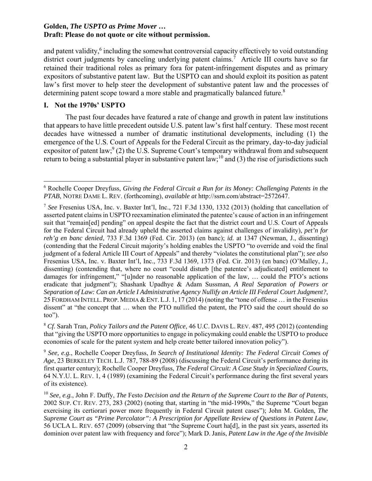and patent validity,<sup>6</sup> including the somewhat controversial capacity effectively to void outstanding district court judgments by canceling underlying patent claims.<sup>7</sup> Article III courts have so far retained their traditional roles as primary fora for patent-infringement disputes and as primary expositors of substantive patent law. But the USPTO can and should exploit its position as patent law's first mover to help steer the development of substantive patent law and the processes of determining patent scope toward a more stable and pragmatically balanced future.<sup>8</sup>

## **I. Not the 1970s' USPTO**

The past four decades have featured a rate of change and growth in patent law institutions that appears to have little precedent outside U.S. patent law's first half century. These most recent decades have witnessed a number of dramatic institutional developments, including (1) the emergence of the U.S. Court of Appeals for the Federal Circuit as the primary, day-to-day judicial expositor of patent law;  $(2)$  the U.S. Supreme Court's temporary withdrawal from and subsequent return to being a substantial player in substantive patent law;<sup>10</sup> and (3) the rise of jurisdictions such

<sup>8</sup> *Cf.* Sarah Tran, *Policy Tailors and the Patent Office*, 46 U.C. DAVIS L. REV. 487, 495 (2012) (contending that "giving the USPTO more opportunities to engage in policymaking could enable the USPTO to produce economies of scale for the patent system and help create better tailored innovation policy").

<sup>9</sup> *See, e.g.*, Rochelle Cooper Dreyfuss, *In Search of Institutional Identity: The Federal Circuit Comes of Age*, 23 BERKELEY TECH. L.J. 787, 788-89 (2008) (discussing the Federal Circuit's performance during its first quarter century); Rochelle Cooper Dreyfuss, *The Federal Circuit: A Case Study in Specialized Courts*, 64 N.Y.U. L. REV. 1, 4 (1989) (examining the Federal Circuit's performance during the first several years of its existence).

 6 Rochelle Cooper Dreyfuss, *Giving the Federal Circuit a Run for its Money: Challenging Patents in the PTAB*, NOTRE DAME L. REV. (forthcoming), *available at* http://ssrn.com/abstract=2572647.

<sup>7</sup> *See* Fresenius USA, Inc. v. Baxter Int'l, Inc., 721 F.3d 1330, 1332 (2013) (holding that cancellation of asserted patent claims in USPTO reexamination eliminated the patentee's cause of action in an infringement suit that "remain[ed] pending" on appeal despite the fact that the district court and U.S. Court of Appeals for the Federal Circuit had already upheld the asserted claims against challenges of invalidity), *pet'n for reh'g en banc denied*, 733 F.3d 1369 (Fed. Cir. 2013) (en banc); *id.* at 1347 (Newman, J., dissenting) (contending that the Federal Circuit majority's holding enables the USPTO "to override and void the final judgment of a federal Article III Court of Appeals" and thereby "violates the constitutional plan"); *see also* Fresenius USA, Inc. v. Baxter Int'l, Inc., 733 F.3d 1369, 1373 (Fed. Cir. 2013) (en banc) (O'Malley, J., dissenting) (contending that, where no court "could disturb [the patentee's adjudicated] entitlement to damages for infringement," "[u]nder no reasonable application of the law, … could the PTO's actions eradicate that judgment"); Shashank Upadhye & Adam Sussman, *A Real Separation of Powers or Separation of Law: Can an Article I Administrative Agency Nullify an Article III Federal Court Judgment?*, 25 FORDHAM INTELL. PROP. MEDIA & ENT. L.J. 1, 17 (2014) (noting the "tone of offense … in the Fresenius dissent" at "the concept that … when the PTO nullified the patent, the PTO said the court should do so too").

<sup>10</sup> *See, e.g.*, John F. Duffy, *The* Festo *Decision and the Return of the Supreme Court to the Bar of Patents*, 2002 SUP. CT. REV. 273, 283 (2002) (noting that, starting in "the mid-1990s," the Supreme "Court began exercising its certiorari power more frequently in Federal Circuit patent cases"); John M. Golden, *The Supreme Court as "Prime Percolator": A Prescription for Appellate Review of Questions in Patent Law*, 56 UCLA L. REV. 657 (2009) (observing that "the Supreme Court ha[d], in the past six years, asserted its dominion over patent law with frequency and force"); Mark D. Janis, *Patent Law in the Age of the Invisible*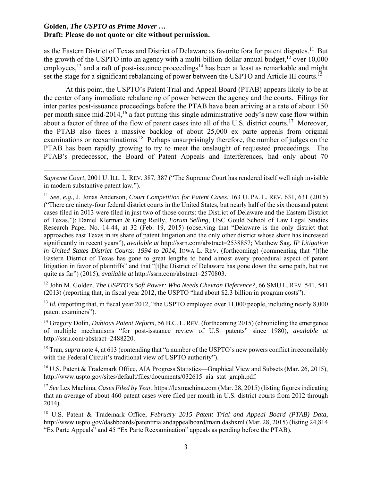as the Eastern District of Texas and District of Delaware as favorite fora for patent disputes.<sup>11</sup> But the growth of the USPTO into an agency with a multi-billion-dollar annual budget, $12$  over 10,000 employees,<sup>13</sup> and a raft of post-issuance proceedings<sup>14</sup> has been at least as remarkable and might set the stage for a significant rebalancing of power between the USPTO and Article III courts.<sup>15</sup>

At this point, the USPTO's Patent Trial and Appeal Board (PTAB) appears likely to be at the center of any immediate rebalancing of power between the agency and the courts. Filings for inter partes post-issuance proceedings before the PTAB have been arriving at a rate of about 150 per month since mid-2014,16 a fact putting this single administrative body's new case flow within about a factor of three of the flow of patent cases into all of the U.S. district courts.<sup>17</sup> Moreover, the PTAB also faces a massive backlog of about 25,000 ex parte appeals from original examinations or reexaminations.<sup>18</sup> Perhaps unsurprisingly therefore, the number of judges on the PTAB has been rapidly growing to try to meet the onslaught of requested proceedings. The PTAB's predecessor, the Board of Patent Appeals and Interferences, had only about 70

12 John M. Golden, *The USPTO's Soft Power: Who Needs Chevron Deference?*, 66 SMU L. REV. 541, 541 (2013) (reporting that, in fiscal year 2012, the USPTO "had about \$2.3 billion in program costs").

<sup>13</sup> *Id.* (reporting that, in fiscal year 2012, "the USPTO employed over 11,000 people, including nearly 8,000 patent examiners").

<sup>14</sup> Gregory Dolin, *Dubious Patent Reform*, 56 B.C. L. REV. (forthcoming 2015) (chronicling the emergence of multiple mechanisms "for post-issuance review of U.S. patents" since 1980), *available at* http://ssrn.com/abstract=2488220.

<sup>15</sup> Tran, *supra* note 4, at 613 (contending that "a number of the USPTO's new powers conflict irreconcilably with the Federal Circuit's traditional view of USPTO authority").

<sup>16</sup> U.S. Patent & Trademark Office, AIA Progress Statistics—Graphical View and Subsets (Mar. 26, 2015), http://www.uspto.gov/sites/default/files/documents/032615\_aia\_stat\_graph.pdf.

<sup>17</sup> *See* Lex Machina, *Cases Filed by Year*, https://lexmachina.com (Mar. 28, 2015) (listing figures indicating that an average of about 460 patent cases were filed per month in U.S. district courts from 2012 through 2014).

*Supreme Court*, 2001 U. ILL. L. REV. 387, 387 ("The Supreme Court has rendered itself well nigh invisible in modern substantive patent law.").

<sup>11</sup> *See, e.g.*, J. Jonas Anderson, *Court Competition for Patent Cases*, 163 U. PA. L. REV. 631, 631 (2015) ("There are ninety-four federal district courts in the United States, but nearly half of the six thousand patent cases filed in 2013 were filed in just two of those courts: the District of Delaware and the Eastern District of Texas."); Daniel Klerman & Greg Reilly, *Forum Selling*, USC Gould School of Law Legal Studies Research Paper No. 14-44, at 32 (Feb. 19, 2015) (observing that "Delaware is the only district that approaches east Texas in its share of patent litigation and the only other district whose share has increased significantly in recent years"), *available at* http://ssrn.com/abstract=2538857; Matthew Sag, *IP Litigation in United States District Courts: 1994 to 2014*, IOWA L. REV. (forthcoming) (commenting that "[t]he Eastern District of Texas has gone to great lengths to bend almost every procedural aspect of patent litigation in favor of plaintiffs" and that "[t]he District of Delaware has gone down the same path, but not quite as far") (2015), *available at* http://ssrn.com/abstract=2570803.

<sup>18</sup> U.S. Patent & Trademark Office, *February 2015 Patent Trial and Appeal Board (PTAB) Data*, http://www.uspto.gov/dashboards/patenttrialandappealboard/main.dashxml (Mar. 28, 2015) (listing 24,814 "Ex Parte Appeals" and 45 "Ex Parte Reexamination" appeals as pending before the PTAB).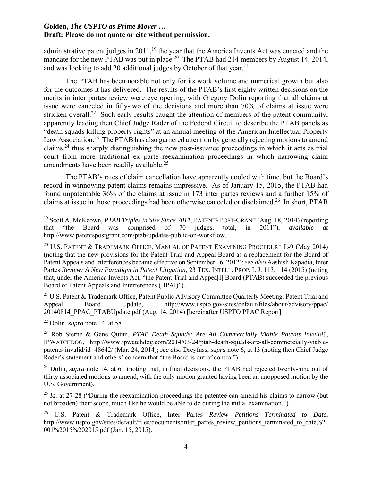administrative patent judges in  $2011$ ,<sup>19</sup> the year that the America Invents Act was enacted and the mandate for the new PTAB was put in place.<sup>20</sup> The PTAB had 214 members by August 14, 2014, and was looking to add 20 additional judges by October of that year.<sup>21</sup>

The PTAB has been notable not only for its work volume and numerical growth but also for the outcomes it has delivered. The results of the PTAB's first eighty written decisions on the merits in inter partes review were eye opening, with Gregory Dolin reporting that all claims at issue were canceled in fifty-two of the decisions and more than 70% of claims at issue were stricken overall.<sup>22</sup> Such early results caught the attention of members of the patent community, apparently leading then Chief Judge Rader of the Federal Circuit to describe the PTAB panels as "death squads killing property rights" at an annual meeting of the American Intellectual Property Law Association.<sup>23</sup> The PTAB has also garnered attention by generally rejecting motions to amend claims,24 thus sharply distinguishing the new post-issuance proceedings in which it acts as trial court from more traditional ex parte reexamination proceedings in which narrowing claim amendments have been readily available.<sup>25</sup>

The PTAB's rates of claim cancellation have apparently cooled with time, but the Board's record in winnowing patent claims remains impressive. As of January 15, 2015, the PTAB had found unpatentable 36% of the claims at issue in 173 inter partes reviews and a further 15% of claims at issue in those proceedings had been otherwise canceled or disclaimed.26 In short, PTAB

<sup>21</sup> U.S. Patent & Trademark Office, Patent Public Advisory Committee Quarterly Meeting: Patent Trial and Appeal Board Update, http://www.uspto.gov/sites/default/files/about/advisory/ppac/ 20140814 PPAC\_PTABUpdate.pdf (Aug. 14, 2014) [hereinafter USPTO PPAC Report].

22 Dolin, *supra* note 14, at 58.

<sup>19</sup> Scott A. McKeown, *PTAB Triples in Size Since 2011*, PATENTS POST-GRANT (Aug. 18, 2014) (reporting that "the Board was comprised of 70 judges, total, in 2011"), *available at* http://www.patentspostgrant.com/ptab-updates-public-on-workflow.

<sup>&</sup>lt;sup>20</sup> U.S. PATENT & TRADEMARK OFFICE, MANUAL OF PATENT EXAMINING PROCEDURE L-9 (May 2014) (noting that the new provisions for the Patent Trial and Appeal Board as a replacement for the Board of Patent Appeals and Interferences became effective on September 16, 2012); *see also* Aashish Kapadia, Inter Partes *Review: A New Paradigm in Patent Litigation*, 23 TEX. INTELL. PROP. L.J. 113, 114 (2015) (noting that, under the America Invents Act, "the Patent Trial and Appea[l] Board (PTAB) succeeded the previous Board of Patent Appeals and Interferences (BPAI)").

<sup>23</sup> Rob Sterne & Gene Quinn, *PTAB Death Squads: Are All Commercially Viable Patents Invalid?*, IPWATCHDOG, http://www.ipwatchdog.com/2014/03/24/ptab-death-squads-are-all-commercially-viablepatents-invalid/id=48642/ (Mar. 24, 2014); *see also* Dreyfuss, *supra* note 6, at 13 (noting then Chief Judge Rader's statement and others' concern that "the Board is out of control").

<sup>&</sup>lt;sup>24</sup> Dolin, *supra* note 14, at 61 (noting that, in final decisions, the PTAB had rejected twenty-nine out of thirty associated motions to amend, with the only motion granted having been an unopposed motion by the U.S. Government).

<sup>&</sup>lt;sup>25</sup> *Id.* at 27-28 ("During the reexamination proceedings the patentee can amend his claims to narrow (but not broaden) their scope, much like he would be able to do during the initial examination.").

<sup>26</sup> U.S. Patent & Trademark Office, Inter Partes *Review Petitions Terminated to Date*, http://www.uspto.gov/sites/default/files/documents/inter\_partes\_review\_petitions\_terminated\_to\_date%2 001%2015%202015.pdf (Jan. 15, 2015).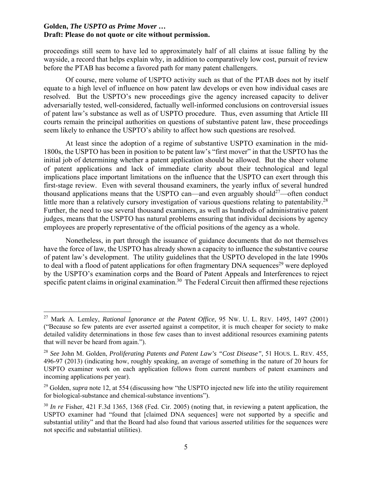proceedings still seem to have led to approximately half of all claims at issue falling by the wayside, a record that helps explain why, in addition to comparatively low cost, pursuit of review before the PTAB has become a favored path for many patent challengers.

Of course, mere volume of USPTO activity such as that of the PTAB does not by itself equate to a high level of influence on how patent law develops or even how individual cases are resolved. But the USPTO's new proceedings give the agency increased capacity to deliver adversarially tested, well-considered, factually well-informed conclusions on controversial issues of patent law's substance as well as of USPTO procedure. Thus, even assuming that Article III courts remain the principal authorities on questions of substantive patent law, these proceedings seem likely to enhance the USPTO's ability to affect how such questions are resolved.

At least since the adoption of a regime of substantive USPTO examination in the mid-1800s, the USPTO has been in position to be patent law's "first mover" in that the USPTO has the initial job of determining whether a patent application should be allowed. But the sheer volume of patent applications and lack of immediate clarity about their technological and legal implications place important limitations on the influence that the USPTO can exert through this first-stage review. Even with several thousand examiners, the yearly influx of several hundred thousand applications means that the USPTO can—and even arguably should<sup>27</sup>—often conduct little more than a relatively cursory investigation of various questions relating to patentability.<sup>28</sup> Further, the need to use several thousand examiners, as well as hundreds of administrative patent judges, means that the USPTO has natural problems ensuring that individual decisions by agency employees are properly representative of the official positions of the agency as a whole.

Nonetheless, in part through the issuance of guidance documents that do not themselves have the force of law, the USPTO has already shown a capacity to influence the substantive course of patent law's development. The utility guidelines that the USPTO developed in the late 1990s to deal with a flood of patent applications for often fragmentary DNA sequences<sup>29</sup> were deployed by the USPTO's examination corps and the Board of Patent Appeals and Interferences to reject specific patent claims in original examination.<sup>30</sup> The Federal Circuit then affirmed these rejections

<sup>27</sup> Mark A. Lemley, *Rational Ignorance at the Patent Office*, 95 NW. U. L. REV. 1495, 1497 (2001) ("Because so few patents are ever asserted against a competitor, it is much cheaper for society to make detailed validity determinations in those few cases than to invest additional resources examining patents that will never be heard from again.").

<sup>28</sup> *See* John M. Golden, *Proliferating Patents and Patent Law's "Cost Disease"*, 51 HOUS. L. REV. 455, 496-97 (2013) (indicating how, roughly speaking, an average of something in the nature of 20 hours for USPTO examiner work on each application follows from current numbers of patent examiners and incoming applications per year).

<sup>&</sup>lt;sup>29</sup> Golden, *supra* note 12, at 554 (discussing how "the USPTO injected new life into the utility requirement for biological-substance and chemical-substance inventions").

<sup>&</sup>lt;sup>30</sup> *In re* Fisher, 421 F.3d 1365, 1368 (Fed. Cir. 2005) (noting that, in reviewing a patent application, the USPTO examiner had "found that [claimed DNA sequences] were not supported by a specific and substantial utility" and that the Board had also found that various asserted utilities for the sequences were not specific and substantial utilities).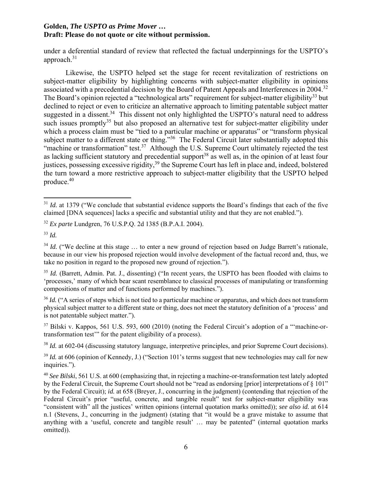under a deferential standard of review that reflected the factual underpinnings for the USPTO's approach.31

Likewise, the USPTO helped set the stage for recent revitalization of restrictions on subject-matter eligibility by highlighting concerns with subject-matter eligibility in opinions associated with a precedential decision by the Board of Patent Appeals and Interferences in 2004.<sup>32</sup> The Board's opinion rejected a "technological arts" requirement for subject-matter eligibility<sup>33</sup> but declined to reject or even to criticize an alternative approach to limiting patentable subject matter suggested in a dissent.<sup>34</sup> This dissent not only highlighted the USPTO's natural need to address such issues promptly<sup>35</sup> but also proposed an alternative test for subject-matter eligibility under which a process claim must be "tied to a particular machine or apparatus" or "transform physical subject matter to a different state or thing."<sup>36</sup> The Federal Circuit later substantially adopted this "machine or transformation" test.<sup>37</sup> Although the U.S. Supreme Court ultimately rejected the test as lacking sufficient statutory and precedential support<sup>38</sup> as well as, in the opinion of at least four justices, possessing excessive rigidity,<sup>39</sup> the Supreme Court has left in place and, indeed, bolstered the turn toward a more restrictive approach to subject-matter eligibility that the USPTO helped produce.40

<sup>38</sup> *Id.* at 602-04 (discussing statutory language, interpretive principles, and prior Supreme Court decisions).

 <sup>31</sup> *Id.* at 1379 ("We conclude that substantial evidence supports the Board's findings that each of the five claimed [DNA sequences] lacks a specific and substantial utility and that they are not enabled.").

<sup>32</sup> *Ex parte* Lundgren, 76 U.S.P.Q. 2d 1385 (B.P.A.I. 2004).

<sup>33</sup> *Id.* 

<sup>&</sup>lt;sup>34</sup> *Id.* ("We decline at this stage ... to enter a new ground of rejection based on Judge Barrett's rationale, because in our view his proposed rejection would involve development of the factual record and, thus, we take no position in regard to the proposed new ground of rejection.").

<sup>&</sup>lt;sup>35</sup> *Id.* (Barrett, Admin. Pat. J., dissenting) ("In recent years, the USPTO has been flooded with claims to 'processes,' many of which bear scant resemblance to classical processes of manipulating or transforming compositions of matter and of functions performed by machines.").

<sup>&</sup>lt;sup>36</sup> *Id.* ("A series of steps which is not tied to a particular machine or apparatus, and which does not transform physical subject matter to a different state or thing, does not meet the statutory definition of a 'process' and is not patentable subject matter.").

 $37$  Bilski v. Kappos, 561 U.S. 593, 600 (2010) (noting the Federal Circuit's adoption of a "machine-ortransformation test'" for the patent eligibility of a process).

<sup>&</sup>lt;sup>39</sup> *Id.* at 606 (opinion of Kennedy, J.) ("Section 101's terms suggest that new technologies may call for new inquiries.").

<sup>40</sup> *See Bilski*, 561 U.S. at 600 (emphasizing that, in rejecting a machine-or-transformation test lately adopted by the Federal Circuit, the Supreme Court should not be "read as endorsing [prior] interpretations of § 101" by the Federal Circuit); *id.* at 658 (Breyer, J., concurring in the judgment) (contending that rejection of the Federal Circuit's prior "useful, concrete, and tangible result" test for subject-matter eligibility was "consistent with" all the justices' written opinions (internal quotation marks omitted)); *see also id.* at 614 n.1 (Stevens, J., concurring in the judgment) (stating that "it would be a grave mistake to assume that anything with a 'useful, concrete and tangible result' … may be patented" (internal quotation marks omitted)).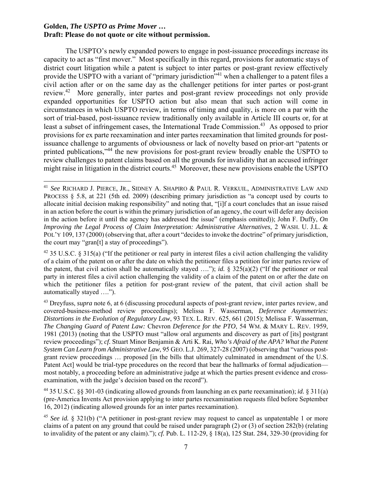The USPTO's newly expanded powers to engage in post-issuance proceedings increase its capacity to act as "first mover." Most specifically in this regard, provisions for automatic stays of district court litigation while a patent is subject to inter partes or post-grant review effectively provide the USPTO with a variant of "primary jurisdiction"<sup>41</sup> when a challenger to a patent files a civil action after or on the same day as the challenger petitions for inter partes or post-grant review.42 More generally, inter partes and post-grant review proceedings not only provide expanded opportunities for USPTO action but also mean that such action will come in circumstances in which USPTO review, in terms of timing and quality, is more on a par with the sort of trial-based, post-issuance review traditionally only available in Article III courts or, for at least a subset of infringement cases, the International Trade Commission.<sup>43</sup> As opposed to prior provisions for ex parte reexamination and inter partes reexamination that limited grounds for postissuance challenge to arguments of obviousness or lack of novelty based on prior-art "patents or printed publications,"44 the new provisions for post-grant review broadly enable the USPTO to review challenges to patent claims based on all the grounds for invalidity that an accused infringer might raise in litigation in the district courts.<sup>45</sup> Moreover, these new provisions enable the USPTO

<sup>41</sup> *See* RICHARD J. PIERCE, JR., SIDNEY A. SHAPIRO & PAUL R. VERKUIL, ADMINISTRATIVE LAW AND PROCESS § 5.8, at 221 (5th ed. 2009) (describing primary jurisdiction as "a concept used by courts to allocate initial decision making responsibility" and noting that, "[i]f a court concludes that an issue raised in an action before the court is within the primary jurisdiction of an agency, the court will defer any decision in the action before it until the agency has addressed the issue" (emphasis omitted)); John F. Duffy, *On Improving the Legal Process of Claim Interpretation: Administrative Alternatives*, 2 WASH. U. J.L. & POL'Y 109, 137 (2000) (observing that, after a court "decides to invoke the doctrine" of primary jurisdiction, the court may "gran[t] a stay of proceedings").

<sup>&</sup>lt;sup>42</sup> 35 U.S.C. § 315(a) ("If the petitioner or real party in interest files a civil action challenging the validity of a claim of the patent on or after the date on which the petitioner files a petition for inter partes review of the patent, that civil action shall be automatically stayed …."); *id.* § 325(a)(2) ("If the petitioner or real party in interest files a civil action challenging the validity of a claim of the patent on or after the date on which the petitioner files a petition for post-grant review of the patent, that civil action shall be automatically stayed ….").

<sup>43</sup> Dreyfuss, *supra* note 6, at 6 (discussing procedural aspects of post-grant review, inter partes review, and covered-business-method review proceedings); Melissa F. Wasserman, *Deference Asymmetries: Distortions in the Evolution of Regulatory Law*, 93 TEX. L. REV. 625, 661 (2015); Melissa F. Wasserman, *The Changing Guard of Patent Law:* Chevron *Deference for the PTO*, 54 WM. & MARY L. REV. 1959, 1981 (2013) (noting that the USPTO must "allow oral arguments and discovery as part of [its] postgrant review proceedings"); *cf.* Stuart Minor Benjamin & Arti K. Rai, *Who's Afraid of the APA? What the Patent System Can Learn from Administrative Law*, 95 GEO. L.J. 269, 327-28 (2007) (observing that "various postgrant review proceedings … proposed [in the bills that ultimately culminated in amendment of the U.S. Patent Act] would be trial-type procedures on the record that bear the hallmarks of formal adjudication most notably, a proceeding before an administrative judge at which the parties present evidence and crossexamination, with the judge's decision based on the record").

<sup>44 35</sup> U.S.C. §§ 301-03 (indicating allowed grounds from launching an ex parte reexamination); *id.* § 311(a) (pre-America Invents Act provision applying to inter partes reexamination requests filed before September 16, 2012) (indicating allowed grounds for an inter partes reexamination).

<sup>&</sup>lt;sup>45</sup> *See id.* § 321(b) ("A petitioner in post-grant review may request to cancel as unpatentable 1 or more claims of a patent on any ground that could be raised under paragraph (2) or (3) of section 282(b) (relating to invalidity of the patent or any claim)."); *cf.* Pub. L. 112-29, § 18(a), 125 Stat. 284, 329-30 (providing for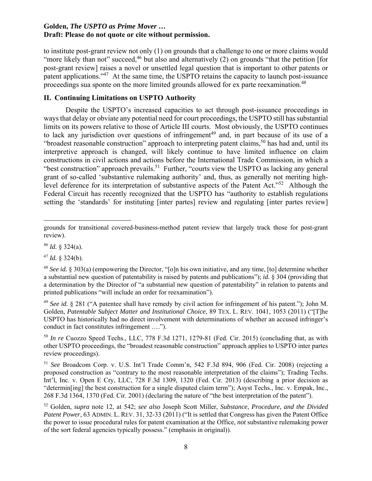to institute post-grant review not only (1) on grounds that a challenge to one or more claims would "more likely than not" succeed,  $46$  but also and alternatively (2) on grounds "that the petition [for post-grant review] raises a novel or unsettled legal question that is important to other patents or patent applications."47 At the same time, the USPTO retains the capacity to launch post-issuance proceedings sua sponte on the more limited grounds allowed for ex parte reexamination.<sup>48</sup>

# **II. Continuing Limitations on USPTO Authority**

Despite the USPTO's increased capacities to act through post-issuance proceedings in ways that delay or obviate any potential need for court proceedings, the USPTO still has substantial limits on its powers relative to those of Article III courts. Most obviously, the USPTO continues to lack any jurisdiction over questions of infringement<sup>49</sup> and, in part because of its use of a "broadest reasonable construction" approach to interpreting patent claims,<sup>50</sup> has had and, until its interpretive approach is changed, will likely continue to have limited influence on claim constructions in civil actions and actions before the International Trade Commission, in which a "best construction" approach prevails.<sup>51</sup> Further, "courts view the USPTO as lacking any general grant of so-called 'substantive rulemaking authority' and, thus, as generally not meriting highlevel deference for its interpretation of substantive aspects of the Patent Act."52 Although the Federal Circuit has recently recognized that the USPTO has "authority to establish regulations setting the 'standards' for instituting [inter partes] review and regulating [inter partes review]

 $47$  *Id.* § 324(b).

<sup>50</sup> *In re* Cuozzo Speed Techs., LLC, 778 F.3d 1271, 1279-81 (Fed. Cir. 2015) (concluding that, as with other USPTO proceedings, the "broadest reasonable construction" approach applies to USPTO inter partes review proceedings).

<sup>51</sup> *See* Broadcom Corp. v. U.S. Int'l Trade Comm'n, 542 F.3d 894, 906 (Fed. Cir. 2008) (rejecting a proposed construction as "contrary to the most reasonable interpretation of the claims"); Trading Techs. Int'l, Inc. v. Open E Cry, LLC, 728 F.3d 1309, 1320 (Fed. Cir. 2013) (describing a prior decision as "determin[ing] the best construction for a single disputed claim term"); Asyst Techs., Inc. v. Empak, Inc., 268 F.3d 1364, 1370 (Fed. Cir. 2001) (declaring the nature of "the best interpretation of the patent").

grounds for transitional covered-business-method patent review that largely track those for post-grant review).

 $46$  *Id.* § 324(a).

<sup>48</sup> *See id.* § 303(a) (empowering the Director, "[o]n his own initiative, and any time, [to] determine whether a substantial new question of patentability is raised by patents and publications"); *id.* § 304 (providing that a determination by the Director of "a substantial new question of patentability" in relation to patents and printed publications "will include an order for reexamination").

<sup>49</sup> *See id.* § 281 ("A patentee shall have remedy by civil action for infringement of his patent."); John M. Golden, *Patentable Subject Matter and Institutional Choice*, 89 TEX. L. REV. 1041, 1053 (2011) ("[T]he USPTO has historically had no direct involvement with determinations of whether an accused infringer's conduct in fact constitutes infringement ….").

<sup>52</sup> Golden, *supra* note 12, at 542; *see also* Joseph Scott Miller, *Substance, Procedure, and the Divided*  Patent Power, 63 ADMIN. L. REV. 31, 32-33 (2011) ("It is settled that Congress has given the Patent Office the power to issue procedural rules for patent examination at the Office, *not* substantive rulemaking power of the sort federal agencies typically possess." (emphasis in original)).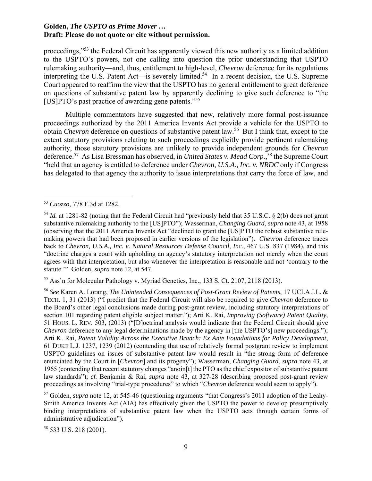proceedings,"53 the Federal Circuit has apparently viewed this new authority as a limited addition to the USPTO's powers, not one calling into question the prior understanding that USPTO rulemaking authority—and, thus, entitlement to high-level, *Chevron* deference for its regulations interpreting the U.S. Patent Act—is severely limited.<sup>54</sup> In a recent decision, the U.S. Supreme Court appeared to reaffirm the view that the USPTO has no general entitlement to great deference on questions of substantive patent law by apparently declining to give such deference to "the [US]PTO's past practice of awarding gene patents."55

Multiple commentators have suggested that new, relatively more formal post-issuance proceedings authorized by the 2011 America Invents Act provide a vehicle for the USPTO to obtain *Chevron* deference on questions of substantive patent law.<sup>56</sup> But I think that, except to the extent statutory provisions relating to such proceedings explicitly provide pertinent rulemaking authority, those statutory provisions are unlikely to provide independent grounds for *Chevron* deference.57 As Lisa Bressman has observed, in *United States v. Mead Corp.*, 58 the Supreme Court "held that an agency is entitled to deference under *Chevron, U.S.A., Inc. v. NRDC* only if Congress has delegated to that agency the authority to issue interpretations that carry the force of law, and

55 Ass'n for Molecular Pathology v. Myriad Genetics, Inc., 133 S. Ct. 2107, 2118 (2013).

<sup>56</sup> *See* Karen A. Lorang, *The Unintended Consequences of Post-Grant Review of Patents*, 17 UCLA J.L. & TECH. 1, 31 (2013) ("I predict that the Federal Circuit will also be required to give *Chevron* deference to the Board's other legal conclusions made during post-grant review, including statutory interpretations of section 101 regarding patent eligible subject matter."); Arti K. Rai, *Improving (Software) Patent Quality*, 51 HOUS. L. REV. 503, (2013) ("[D]octrinal analysis would indicate that the Federal Circuit should give *Chevron* deference to any legal determinations made by the agency in [the USPTO's] new proceedings."); Arti K. Rai, *Patent Validity Across the Executive Branch: Ex Ante Foundations for Policy Development*, 61 DUKE L.J. 1237, 1239 (2012) (contending that use of relatively formal postgrant review to implement USPTO guidelines on issues of substantive patent law would result in "the strong form of deference enunciated by the Court in [*Chevron*] and its progeny"); Wasserman, *Changing Guard*, *supra* note 43, at 1965 (contending that recent statutory changes "anoin[t] the PTO as the chief expositor of substantive patent law standards"); *cf.* Benjamin & Rai, *supra* note 43, at 327-28 (describing proposed post-grant review proceedings as involving "trial-type procedures" to which "*Chevron* deference would seem to apply").

57 Golden, *supra* note 12, at 545-46 (questioning arguments "that Congress's 2011 adoption of the Leahy-Smith America Invents Act (AIA) has effectively given the USPTO the power to develop presumptively binding interpretations of substantive patent law when the USPTO acts through certain forms of administrative adjudication").

58 533 U.S. 218 (2001).

 <sup>53</sup> *Cuozzo*, 778 F.3d at 1282.

<sup>&</sup>lt;sup>54</sup> *Id.* at 1281-82 (noting that the Federal Circuit had "previously held that 35 U.S.C. § 2(b) does not grant substantive rulemaking authority to the [US]PTO"); Wasserman, *Changing Guard*, *supra* note 43, at 1958 (observing that the 2011 America Invents Act "declined to grant the [US]PTO the robust substantive rulemaking powers that had been proposed in earlier versions of the legislation"). *Chevron* deference traces back to *Chevron, U.S.A., Inc. v. Natural Resources Defense Council, Inc.*, 467 U.S. 837 (1984), and this "doctrine charges a court with upholding an agency's statutory interpretation not merely when the court agrees with that interpretation, but also whenever the interpretation is reasonable and not 'contrary to the statute.'" Golden, *supra* note 12, at 547.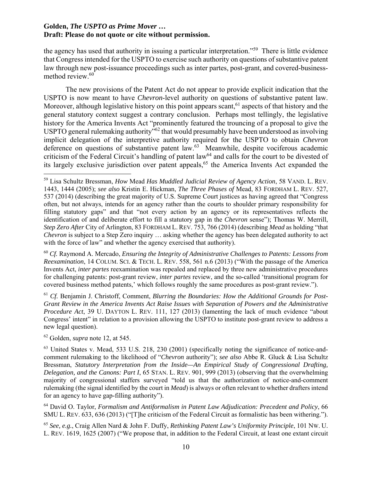the agency has used that authority in issuing a particular interpretation."59 There is little evidence that Congress intended for the USPTO to exercise such authority on questions of substantive patent law through new post-issuance proceedings such as inter partes, post-grant, and covered-businessmethod review.<sup>60</sup>

The new provisions of the Patent Act do not appear to provide explicit indication that the USPTO is now meant to have *Chevron*-level authority on questions of substantive patent law. Moreover, although legislative history on this point appears scant,  $61$  aspects of that history and the general statutory context suggest a contrary conclusion. Perhaps most tellingly, the legislative history for the America Invents Act "prominently featured the trouncing of a proposal to give the USPTO general rulemaking authority<sup>762</sup> that would presumably have been understood as involving implicit delegation of the interpretive authority required for the USPTO to obtain *Chevron* deference on questions of substantive patent law.<sup>63</sup> Meanwhile, despite vociferous academic criticism of the Federal Circuit's handling of patent law<sup>64</sup> and calls for the court to be divested of its largely exclusive jurisdiction over patent appeals,  $65$  the America Invents Act expanded the

<sup>60</sup> *Cf.* Raymond A. Mercado, *Ensuring the Integrity of Administrative Challenges to Patents: Lessons from Reexamination*, 14 COLUM. SCI. & TECH. L. REV. 558, 561 n.6 (2013) ("With the passage of the America Invents Act, *inter partes* reexamination was repealed and replaced by three new administrative procedures for challenging patents: post-grant review, *inter partes* review, and the so-called 'transitional program for covered business method patents,' which follows roughly the same procedures as post-grant review.").

<sup>61</sup> *Cf.* Benjamin J. Christoff, Comment, *Blurring the Boundaries: How the Additional Grounds for Post-Grant Review in the America Invents Act Raise Issues with Separation of Powers and the Administrative Procedure Act*, 39 U. DAYTON L. REV. 111, 127 (2013) (lamenting the lack of much evidence "about Congress' intent" in relation to a provision allowing the USPTO to institute post-grant review to address a new legal question).

62 Golden, *supra* note 12, at 545.

63 United States v. Mead, 533 U.S. 218, 230 (2001) (specifically noting the significance of notice-andcomment rulemaking to the likelihood of "*Chevron* authority"); *see also* Abbe R. Gluck & Lisa Schultz Bressman, *Statutory Interpretation from the Inside—An Empirical Study of Congressional Drafting, Delegation, and the Canons: Part I*, 65 STAN. L. REV. 901, 999 (2013) (observing that the overwhelming majority of congressional staffers surveyed "told us that the authorization of notice-and-comment rulemaking (the signal identified by the court in *Mead*) is always or often relevant to whether drafters intend for an agency to have gap-filling authority").

64 David O. Taylor, *Formalism and Antiformalism in Patent Law Adjudication: Precedent and Policy*, 66 SMU L. REV. 633, 636 (2013) ("[T]he criticism of the Federal Circuit as formalistic has been withering.").

<sup>65</sup> *See, e.g.*, Craig Allen Nard & John F. Duffy, *Rethinking Patent Law's Uniformity Principle*, 101 NW. U. L. REV. 1619, 1625 (2007) ("We propose that, in addition to the Federal Circuit, at least one extant circuit

<sup>59</sup> Lisa Schultz Bressman, *How* Mead *Has Muddled Judicial Review of Agency Action*, 58 VAND. L. REV. 1443, 1444 (2005); *see also* Kristin E. Hickman, *The Three Phases of* Mead, 83 FORDHAM L. REV. 527, 537 (2014) (describing the great majority of U.S. Supreme Court justices as having agreed that "Congress often, but not always, intends for an agency rather than the courts to shoulder primary responsibility for filling statutory gaps" and that "not every action by an agency or its representatives reflects the identification of and deliberate effort to fill a statutory gap in the *Chevron* sense"); Thomas W. Merrill, *Step Zero After* City of Arlington, 83 FORDHAM L. REV. 753, 766 (2014) (describing *Mead* as holding "that *Chevron* is subject to a Step Zero inquiry ... asking whether the agency has been delegated authority to act with the force of law" and whether the agency exercised that authority).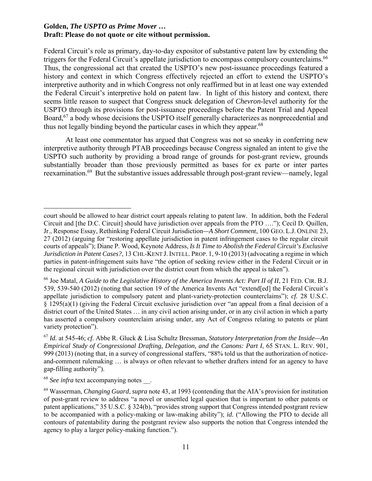Federal Circuit's role as primary, day-to-day expositor of substantive patent law by extending the triggers for the Federal Circuit's appellate jurisdiction to encompass compulsory counterclaims.<sup>66</sup> Thus, the congressional act that created the USPTO's new post-issuance proceedings featured a history and context in which Congress effectively rejected an effort to extend the USPTO's interpretive authority and in which Congress not only reaffirmed but in at least one way extended the Federal Circuit's interpretive hold on patent law. In light of this history and context, there seems little reason to suspect that Congress snuck delegation of *Chevron*-level authority for the USPTO through its provisions for post-issuance proceedings before the Patent Trial and Appeal Board,<sup>67</sup> a body whose decisions the USPTO itself generally characterizes as nonprecedential and thus not legally binding beyond the particular cases in which they appear.<sup>68</sup>

At least one commentator has argued that Congress was not so sneaky in conferring new interpretive authority through PTAB proceedings because Congress signaled an intent to give the USPTO such authority by providing a broad range of grounds for post-grant review, grounds substantially broader than those previously permitted as bases for ex parte or inter partes reexamination.<sup>69</sup> But the substantive issues addressable through post-grant review—namely, legal

 court should be allowed to hear district court appeals relating to patent law. In addition, both the Federal Circuit and [the D.C. Circuit] should have jurisdiction over appeals from the PTO …."); Cecil D. Quillen, Jr., Response Essay, Rethinking Federal Circuit Jurisdiction*—A Short Comment*, 100 GEO. L.J. ONLINE 23, 27 (2012) (arguing for "restoring appellate jurisdiction in patent infringement cases to the regular circuit courts of appeals"); Diane P. Wood, Keynote Address, *Is It Time to Abolish the Federal Circuit's Exclusive Jurisdiction in Patent Cases?*, 13 CHI.-KENT J. INTELL. PROP. 1, 9-10 (2013) (advocating a regime in which parties in patent-infringement suits have "the option of seeking review either in the Federal Circuit or in the regional circuit with jurisdiction over the district court from which the appeal is taken").

<sup>&</sup>lt;sup>66</sup> Joe Matal, *A Guide to the Legislative History of the America Invents Act: Part II of II*, 21 FED. CIR. B.J. 539, 539-540 (2012) (noting that section 19 of the America Invents Act "extend[ed] the Federal Circuit's appellate jurisdiction to compulsory patent and plant-variety-protection counterclaims"); *cf.* 28 U.S.C. § 1295(a)(1) (giving the Federal Circuit exclusive jurisdiction over "an appeal from a final decision of a district court of the United States … in any civil action arising under, or in any civil action in which a party has asserted a compulsory counterclaim arising under, any Act of Congress relating to patents or plant variety protection").

<sup>67</sup> *Id.* at 545-46; *cf.* Abbe R. Gluck & Lisa Schultz Bressman, *Statutory Interpretation from the Inside—An Empirical Study of Congressional Drafting, Delegation, and the Canons: Part I*, 65 STAN. L. REV. 901, 999 (2013) (noting that, in a survey of congressional staffers, "88% told us that the authorization of noticeand-comment rulemaking … is always or often relevant to whether drafters intend for an agency to have gap-filling authority").

<sup>&</sup>lt;sup>68</sup> *See infra* text accompanying notes .

<sup>69</sup> Wasserman, *Changing Guard*, *supra* note 43, at 1993 (contending that the AIA's provision for institution of post-grant review to address "a novel or unsettled legal question that is important to other patents or patent applications," 35 U.S.C. § 324(b), "provides strong support that Congress intended postgrant review to be accompanied with a policy-making or law-making ability"); *id.* ("Allowing the PTO to decide all contours of patentability during the postgrant review also supports the notion that Congress intended the agency to play a larger policy-making function.").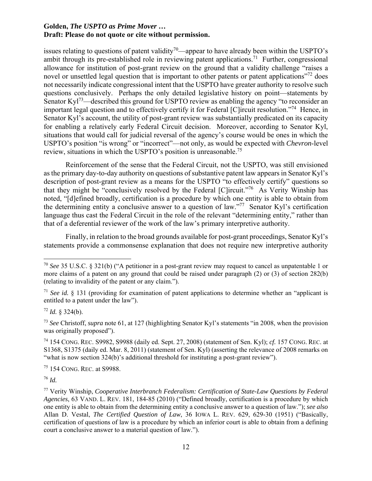issues relating to questions of patent validity<sup>70</sup>—appear to have already been within the USPTO's ambit through its pre-established role in reviewing patent applications.<sup>71</sup> Further, congressional allowance for institution of post-grant review on the ground that a validity challenge "raises a novel or unsettled legal question that is important to other patents or patent applications<sup>"72</sup> does not necessarily indicate congressional intent that the USPTO have greater authority to resolve such questions conclusively. Perhaps the only detailed legislative history on point—statements by Senator Ky $1^{73}$ —described this ground for USPTO review as enabling the agency "to reconsider an important legal question and to effectively certify it for Federal [C]ircuit resolution."74 Hence, in Senator Kyl's account, the utility of post-grant review was substantially predicated on its capacity for enabling a relatively early Federal Circuit decision. Moreover, according to Senator Kyl, situations that would call for judicial reversal of the agency's course would be ones in which the USPTO's position "is wrong" or "incorrect"—not only, as would be expected with *Chevron*-level review, situations in which the USPTO's position is unreasonable.<sup>75</sup>

Reinforcement of the sense that the Federal Circuit, not the USPTO, was still envisioned as the primary day-to-day authority on questions of substantive patent law appears in Senator Kyl's description of post-grant review as a means for the USPTO "to effectively certify" questions so that they might be "conclusively resolved by the Federal [C]ircuit."76 As Verity Winship has noted, "[d]efined broadly, certification is a procedure by which one entity is able to obtain from the determining entity a conclusive answer to a question of law."<sup>77</sup> Senator Kyl's certification language thus cast the Federal Circuit in the role of the relevant "determining entity," rather than that of a deferential reviewer of the work of the law's primary interpretive authority.

Finally, in relation to the broad grounds available for post-grant proceedings, Senator Kyl's statements provide a commonsense explanation that does not require new interpretive authority

75 154 CONG. REC. at S9988.

<sup>76</sup> *Id.* 

<sup>70</sup> *See* 35 U.S.C. § 321(b) ("A petitioner in a post-grant review may request to cancel as unpatentable 1 or more claims of a patent on any ground that could be raised under paragraph (2) or (3) of section 282(b) (relating to invalidity of the patent or any claim.").

<sup>71</sup> *See id.* § 131 (providing for examination of patent applications to determine whether an "applicant is entitled to a patent under the law").

 $72$  *Id.* 8 324(b).

<sup>73</sup> *See* Christoff, *supra* note 61, at 127 (highlighting Senator Kyl's statements "in 2008, when the provision was originally proposed").

<sup>74 154</sup> CONG. REC. S9982, S9988 (daily ed. Sept. 27, 2008) (statement of Sen. Kyl); *cf.* 157 CONG. REC. at S1368, S1375 (daily ed. Mar. 8, 2011) (statement of Sen. Kyl) (asserting the relevance of 2008 remarks on "what is now section 324(b)'s additional threshold for instituting a post-grant review").

<sup>77</sup> Verity Winship, *Cooperative Interbranch Federalism: Certification of State-Law Questions by Federal Agencies*, 63 VAND. L. REV. 181, 184-85 (2010) ("Defined broadly, certification is a procedure by which one entity is able to obtain from the determining entity a conclusive answer to a question of law."); *see also* Allan D. Vestal, *The Certified Question of Law*, 36 IOWA L. REV. 629, 629-30 (1951) ("Basically, certification of questions of law is a procedure by which an inferior court is able to obtain from a defining court a conclusive answer to a material question of law.").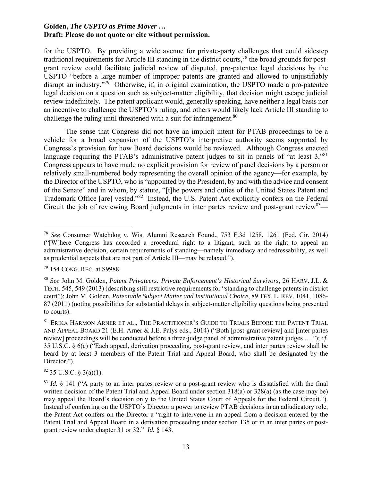for the USPTO. By providing a wide avenue for private-party challenges that could sidestep traditional requirements for Article III standing in the district courts,78 the broad grounds for postgrant review could facilitate judicial review of disputed, pro-patentee legal decisions by the USPTO "before a large number of improper patents are granted and allowed to unjustifiably disrupt an industry.<sup>"79</sup> Otherwise, if, in original examination, the USPTO made a pro-patentee legal decision on a question such as subject-matter eligibility, that decision might escape judicial review indefinitely. The patent applicant would, generally speaking, have neither a legal basis nor an incentive to challenge the USPTO's ruling, and others would likely lack Article III standing to challenge the ruling until threatened with a suit for infringement.<sup>80</sup>

The sense that Congress did not have an implicit intent for PTAB proceedings to be a vehicle for a broad expansion of the USPTO's interpretive authority seems supported by Congress's provision for how Board decisions would be reviewed. Although Congress enacted language requiring the PTAB's administrative patent judges to sit in panels of "at least 3,"<sup>81</sup> Congress appears to have made no explicit provision for review of panel decisions by a person or relatively small-numbered body representing the overall opinion of the agency—for example, by the Director of the USPTO, who is "appointed by the President, by and with the advice and consent of the Senate" and in whom, by statute, "[t]he powers and duties of the United States Patent and Trademark Office [are] vested."82 Instead, the U.S. Patent Act explicitly confers on the Federal Circuit the job of reviewing Board judgments in inter partes review and post-grant review  $83$ —

 $82$  35 U.S.C. § 3(a)(1).

 <sup>78</sup> *See* Consumer Watchdog v. Wis. Alumni Research Found., 753 F.3d 1258, 1261 (Fed. Cir. 2014) ("[W]here Congress has accorded a procedural right to a litigant, such as the right to appeal an administrative decision, certain requirements of standing—namely immediacy and redressability, as well as prudential aspects that are not part of Article III—may be relaxed.").

<sup>79 154</sup> CONG. REC. at S9988.

<sup>80</sup> *See* John M. Golden, *Patent Privateers: Private Enforcement's Historical Survivors*, 26 HARV. J.L. & TECH. 545, 549 (2013) (describing still restrictive requirements for "standing to challenge patents in district court"); John M. Golden, *Patentable Subject Matter and Institutional Choice*, 89 TEX. L. REV. 1041, 1086- 87 (2011) (noting possibilities for substantial delays in subject-matter eligibility questions being presented to courts).

<sup>&</sup>lt;sup>81</sup> ERIKA HARMON ARNER ET AL., THE PRACTITIONER'S GUIDE TO TRIALS BEFORE THE PATENT TRIAL AND APPEAL BOARD 21 (E.H. Arner & J.E. Palys eds., 2014) ("Both [post-grant review] and [inter partes review] proceedings will be conducted before a three-judge panel of administrative patent judges …."); *cf.*  35 U.S.C. § 6(c) ("Each appeal, derivation proceeding, post-grant review, and inter partes review shall be heard by at least 3 members of the Patent Trial and Appeal Board, who shall be designated by the Director.").

<sup>&</sup>lt;sup>83</sup> *Id.* § 141 ("A party to an inter partes review or a post-grant review who is dissatisfied with the final written decision of the Patent Trial and Appeal Board under section 318(a) or 328(a) (as the case may be) may appeal the Board's decision only to the United States Court of Appeals for the Federal Circuit."). Instead of conferring on the USPTO's Director a power to review PTAB decisions in an adjudicatory role, the Patent Act confers on the Director a "right to intervene in an appeal from a decision entered by the Patent Trial and Appeal Board in a derivation proceeding under section 135 or in an inter partes or postgrant review under chapter 31 or 32." *Id.* § 143.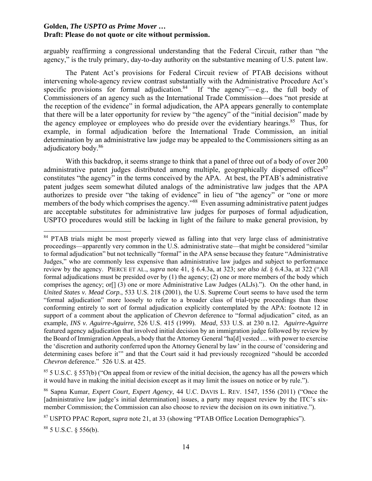arguably reaffirming a congressional understanding that the Federal Circuit, rather than "the agency," is the truly primary, day-to-day authority on the substantive meaning of U.S. patent law.

The Patent Act's provisions for Federal Circuit review of PTAB decisions without intervening whole-agency review contrast substantially with the Administrative Procedure Act's specific provisions for formal adjudication.<sup>84</sup> If "the agency"—e.g., the full body of Commissioners of an agency such as the International Trade Commission—does "not preside at the reception of the evidence" in formal adjudication, the APA appears generally to contemplate that there will be a later opportunity for review by "the agency" of the "initial decision" made by the agency employee or employees who do preside over the evidentiary hearings.<sup>85</sup> Thus, for example, in formal adjudication before the International Trade Commission, an initial determination by an administrative law judge may be appealed to the Commissioners sitting as an adjudicatory body.86

With this backdrop, it seems strange to think that a panel of three out of a body of over 200 administrative patent judges distributed among multiple, geographically dispersed offices $87$ constitutes "the agency" in the terms conceived by the APA. At best, the PTAB's administrative patent judges seem somewhat diluted analogs of the administrative law judges that the APA authorizes to preside over "the taking of evidence" in lieu of "the agency" or "one or more members of the body which comprises the agency."<sup>88</sup> Even assuming administrative patent judges are acceptable substitutes for administrative law judges for purposes of formal adjudication, USPTO procedures would still be lacking in light of the failure to make general provision, by

 $885$  U.S.C. § 556(b).

<sup>&</sup>lt;sup>84</sup> PTAB trials might be most properly viewed as falling into that very large class of administrative proceedings—apparently very common in the U.S. administrative state—that might be considered "similar to formal adjudication" but not technically "formal" in the APA sense because they feature "Administrative Judges," who are commonly less expensive than administrative law judges and subject to performance review by the agency. PIERCE ET AL., *supra* note 41, § 6.4.3a, at 323; *see also id.* § 6.4.3a, at 322 ("All formal adjudications must be presided over by (1) the agency; (2) one or more members of the body which comprises the agency; or[] (3) one or more Administrative Law Judges (ALJs)."). On the other hand, in *United States v. Mead Corp.*, 533 U.S. 218 (2001), the U.S. Supreme Court seems to have used the term "formal adjudication" more loosely to refer to a broader class of trial-type proceedings than those conforming entirely to sort of formal adjudication explicitly contemplated by the APA: footnote 12 in support of a comment about the application of *Chevron* deference to "formal adjudication" cited, as an example, *INS v. Aguirre-Aguirre*, 526 U.S. 415 (1999). *Mead*, 533 U.S. at 230 n.12. *Aguirre-Aguirre* featured agency adjudication that involved initial decision by an immigration judge followed by review by the Board of Immigration Appeals, a body that the Attorney General "ha[d] vested … with power to exercise the 'discretion and authority conferred upon the Attorney General by law' in the course of 'considering and determining cases before it'" and that the Court said it had previously recognized "should be accorded *Chevron* deference." 526 U.S. at 425.

 $85$  5 U.S.C. § 557(b) ("On appeal from or review of the initial decision, the agency has all the powers which it would have in making the initial decision except as it may limit the issues on notice or by rule.").

<sup>86</sup> Sapna Kumar, *Expert Court, Expert Agency*, 44 U.C. DAVIS L. REV. 1547, 1556 (2011) ("Once the [administrative law judge's initial determination] issues, a party may request review by the ITC's sixmember Commission; the Commission can also choose to review the decision on its own initiative.").

<sup>87</sup> USPTO PPAC Report, *supra* note 21, at 33 (showing "PTAB Office Location Demographics").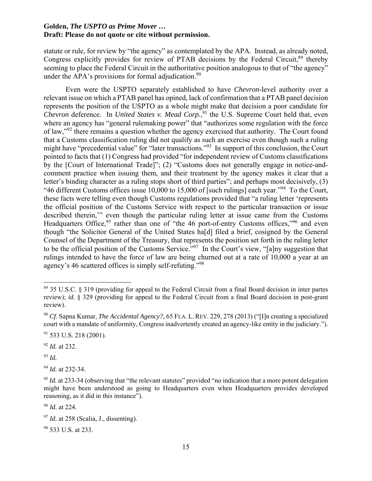statute or rule, for review by "the agency" as contemplated by the APA. Instead, as already noted, Congress explicitly provides for review of PTAB decisions by the Federal Circuit.<sup>89</sup> thereby seeming to place the Federal Circuit in the authoritative position analogous to that of "the agency" under the APA's provisions for formal adjudication.<sup>90</sup>

Even were the USPTO separately established to have *Chevron*-level authority over a relevant issue on which a PTAB panel has opined, lack of confirmation that a PTAB panel decision represents the position of the USPTO as a whole might make that decision a poor candidate for *Chevron* deference. In *United States v. Mead Corp.*, 91 the U.S. Supreme Court held that, even where an agency has "general rulemaking power" that "authorizes some regulation with the force of law,"92 there remains a question whether the agency exercised that authority. The Court found that a Customs classification ruling did not qualify as such an exercise even though such a ruling might have "precedential value" for "later transactions."<sup>93</sup> In support of this conclusion, the Court pointed to facts that (1) Congress had provided "for independent review of Customs classifications by the [Court of International Trade]"; (2) "Customs does not generally engage in notice-andcomment practice when issuing them, and their treatment by the agency makes it clear that a letter's binding character as a ruling stops short of third parties"; and perhaps most decisively, (3) "46 different Customs offices issue 10,000 to 15,000 of [such rulings] each year."<sup>94</sup> To the Court, these facts were telling even though Customs regulations provided that "a ruling letter 'represents the official position of the Customs Service with respect to the particular transaction or issue described therein,'" even though the particular ruling letter at issue came from the Customs Headquarters Office,  $95$  rather than one of "the 46 port-of-entry Customs offices," $96$  and even though "the Solicitor General of the United States ha[d] filed a brief, cosigned by the General Counsel of the Department of the Treasury, that represents the position set forth in the ruling letter to be the official position of the Customs Service.<sup>"97</sup> In the Court's view, "[a]ny suggestion that rulings intended to have the force of law are being churned out at a rate of 10,000 a year at an agency's 46 scattered offices is simply self-refuting."98

<sup>92</sup> *Id.* at 232.

<sup>93</sup> *Id.*

<sup>94</sup> *Id.* at 232-34.

<sup>96</sup> *Id.* at 224.

98 533 U.S. at 233.

<sup>89 35</sup> U.S.C. § 319 (providing for appeal to the Federal Circuit from a final Board decision in inter partes review); *id.* § 329 (providing for appeal to the Federal Circuit from a final Board decision in post-grant review).

<sup>90</sup> *Cf.* Sapna Kumar, *The Accidental Agency?*, 65 FLA. L. REV. 229, 278 (2013) ("[I]n creating a specialized court with a mandate of uniformity, Congress inadvertently created an agency-like entity in the judiciary.").

 $91$  533 U.S. 218 (2001).

<sup>&</sup>lt;sup>95</sup> *Id.* at 233-34 (observing that "the relevant statutes" provided "no indication that a more potent delegation might have been understood as going to Headquarters even when Headquarters provides developed reasoning, as it did in this instance").

<sup>&</sup>lt;sup>97</sup> *Id.* at 258 (Scalia, J., dissenting).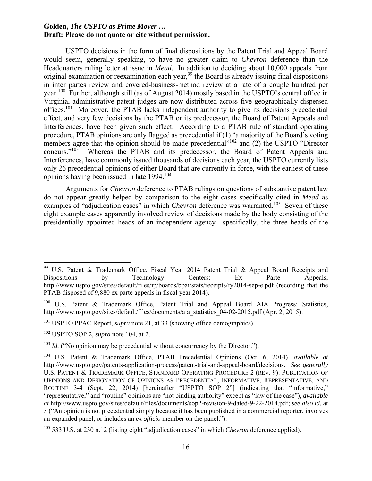USPTO decisions in the form of final dispositions by the Patent Trial and Appeal Board would seem, generally speaking, to have no greater claim to *Chevron* deference than the Headquarters ruling letter at issue in *Mead*. In addition to deciding about 10,000 appeals from original examination or reexamination each year,<sup>99</sup> the Board is already issuing final dispositions in inter partes review and covered-business-method review at a rate of a couple hundred per year.100 Further, although still (as of August 2014) mostly based in the USPTO's central office in Virginia, administrative patent judges are now distributed across five geographically dispersed offices.101 Moreover, the PTAB lacks independent authority to give its decisions precedential effect, and very few decisions by the PTAB or its predecessor, the Board of Patent Appeals and Interferences, have been given such effect. According to a PTAB rule of standard operating procedure, PTAB opinions are only flagged as precedential if (1) "a majority of the Board's voting members agree that the opinion should be made precedential<sup>1102</sup> and (2) the USPTO "Director concurs."103 Whereas the PTAB and its predecessor, the Board of Patent Appeals and Interferences, have commonly issued thousands of decisions each year, the USPTO currently lists only 26 precedential opinions of either Board that are currently in force, with the earliest of these opinions having been issued in late 1994.104

Arguments for *Chevron* deference to PTAB rulings on questions of substantive patent law do not appear greatly helped by comparison to the eight cases specifically cited in *Mead* as examples of "adjudication cases" in which *Chevron* deference was warranted.<sup>105</sup> Seven of these eight example cases apparently involved review of decisions made by the body consisting of the presidentially appointed heads of an independent agency—specifically, the three heads of the

<sup>&</sup>lt;sup>99</sup> U.S. Patent & Trademark Office, Fiscal Year 2014 Patent Trial & Appeal Board Receipts and Dispositions by Technology Centers: Ex Parte Appeals, http://www.uspto.gov/sites/default/files/ip/boards/bpai/stats/receipts/fy2014-sep-e.pdf (recording that the PTAB disposed of 9,880 ex parte appeals in fiscal year 2014).

<sup>&</sup>lt;sup>100</sup> U.S. Patent & Trademark Office, Patent Trial and Appeal Board AIA Progress: Statistics, http://www.uspto.gov/sites/default/files/documents/aia\_statistics\_04-02-2015.pdf (Apr. 2, 2015).

<sup>&</sup>lt;sup>101</sup> USPTO PPAC Report, *supra* note 21, at 33 (showing office demographics).

<sup>102</sup> USPTO SOP 2, *supra* note 104, at 2.

<sup>&</sup>lt;sup>103</sup> *Id.* ("No opinion may be precedential without concurrency by the Director.").

<sup>104</sup> U.S. Patent & Trademark Office, PTAB Precedential Opinions (Oct. 6, 2014), *available at* http://www.uspto.gov/patents-application-process/patent-trial-and-appeal-board/decisions. *See generally* U.S. PATENT & TRADEMARK OFFICE, STANDARD OPERATING PROCEDURE 2 (REV. 9): PUBLICATION OF OPINIONS AND DESIGNATION OF OPINIONS AS PRECEDENTIAL, INFORMATIVE, REPRESENTATIVE, AND ROUTINE 3-4 (Sept. 22, 2014) [hereinafter "USPTO SOP 2"] (indicating that "informative," "representative," and "routine" opinions are "not binding authority" except as "law of the case"), *available at* http://www.uspto.gov/sites/default/files/documents/sop2-revision-9-dated-9-22-2014.pdf; *see also id.* at 3 ("An opinion is not precedential simply because it has been published in a commercial reporter, involves an expanded panel, or includes an *ex officio* member on the panel.").

<sup>105 533</sup> U.S. at 230 n.12 (listing eight "adjudication cases" in which *Chevron* deference applied).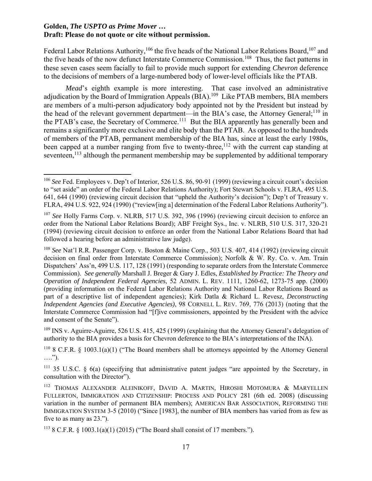Federal Labor Relations Authority,<sup>106</sup> the five heads of the National Labor Relations Board,<sup>107</sup> and the five heads of the now defunct Interstate Commerce Commission.<sup>108</sup> Thus, the fact patterns in these seven cases seem facially to fail to provide much support for extending *Chevron* deference to the decisions of members of a large-numbered body of lower-level officials like the PTAB.

*Mead*'s eighth example is more interesting. That case involved an administrative adjudication by the Board of Immigration Appeals (BIA).109 Like PTAB members, BIA members are members of a multi-person adjudicatory body appointed not by the President but instead by the head of the relevant government department—in the BIA's case, the Attorney General;<sup>110</sup> in the PTAB's case, the Secretary of Commerce.<sup>111</sup> But the BIA apparently has generally been and remains a significantly more exclusive and elite body than the PTAB. As opposed to the hundreds of members of the PTAB, permanent membership of the BIA has, since at least the early 1980s, been capped at a number ranging from five to twenty-three,<sup>112</sup> with the current cap standing at seventeen,<sup>113</sup> although the permanent membership may be supplemented by additional temporary

<sup>109</sup> INS v. Aguirre-Aguirre, 526 U.S. 415, 425 (1999) (explaining that the Attorney General's delegation of authority to the BIA provides a basis for Chevron deference to the BIA's interpretations of the INA).

<sup>106</sup> *See* Fed. Employees v. Dep't of Interior, 526 U.S. 86, 90-91 (1999) (reviewing a circuit court's decision to "set aside" an order of the Federal Labor Relations Authority); Fort Stewart Schools v. FLRA, 495 U.S. 641, 644 (1990) (reviewing circuit decision that "upheld the Authority's decision"); Dep't of Treasury v. FLRA, 494 U.S. 922, 924 (1990) ("review[ing a] determination of the Federal Labor Relations Authority").

<sup>107</sup> *See* Holly Farms Corp. v. NLRB, 517 U.S. 392, 396 (1996) (reviewing circuit decision to enforce an order from the National Labor Relations Board); ABF Freight Sys., Inc. v. NLRB, 510 U.S. 317, 320-21 (1994) (reviewing circuit decision to enforce an order from the National Labor Relations Board that had followed a hearing before an administrative law judge).

<sup>108</sup> *See* Nat'l R.R. Passenger Corp. v. Boston & Maine Corp., 503 U.S. 407, 414 (1992) (reviewing circuit decision on final order from Interstate Commerce Commission); Norfolk & W. Ry. Co. v. Am. Train Dispatchers' Ass'n, 499 U.S. 117, 128 (1991) (responding to separate orders from the Interstate Commerce Commission). *See generally* Marshall J. Breger & Gary J. Edles, *Established by Practice: The Theory and Operation of Independent Federal Agencies*, 52 ADMIN. L. REV. 1111, 1260-62, 1273-75 app. (2000) (providing information on the Federal Labor Relations Authority and National Labor Relations Board as part of a descriptive list of independent agencies); Kirk Datla & Richard L. Revesz, *Deconstructing Independent Agencies (and Executive Agencies)*, 98 CORNELL L. REV. 769, 776 (2013) (noting that the Interstate Commerce Commission had "[f]ive commissioners, appointed by the President with the advice and consent of the Senate").

<sup>&</sup>lt;sup>110</sup> 8 C.F.R. § 1003.1(a)(1) ("The Board members shall be attorneys appointed by the Attorney General ….").

 $111$  35 U.S.C. § 6(a) (specifying that administrative patent judges "are appointed by the Secretary, in consultation with the Director").

<sup>112</sup> THOMAS ALEXANDER ALEINIKOFF, DAVID A. MARTIN, HIROSHI MOTOMURA & MARYELLEN FULLERTON, IMMIGRATION AND CITIZENSHIP: PROCESS AND POLICY 281 (6th ed. 2008) (discussing variation in the number of permanent BIA members); AMERICAN BAR ASSOCIATION, REFORMING THE IMMIGRATION SYSTEM 3-5 (2010) ("Since [1983], the number of BIA members has varied from as few as five to as many as 23.").

<sup>&</sup>lt;sup>113</sup> 8 C.F.R. § 1003.1(a)(1) (2015) ("The Board shall consist of 17 members.").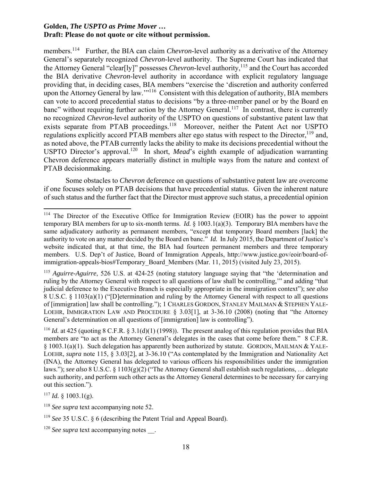members.<sup>114</sup> Further, the BIA can claim *Chevron*-level authority as a derivative of the Attorney General's separately recognized *Chevron*-level authority. The Supreme Court has indicated that the Attorney General "clear[ly]" possesses *Chevron*-level authority,<sup>115</sup> and the Court has accorded the BIA derivative *Chevron*-level authority in accordance with explicit regulatory language providing that, in deciding cases, BIA members "exercise the 'discretion and authority conferred upon the Attorney General by law."<sup>116</sup> Consistent with this delegation of authority, BIA members can vote to accord precedential status to decisions "by a three-member panel or by the Board en banc" without requiring further action by the Attorney General.<sup>117</sup> In contrast, there is currently no recognized *Chevron*-level authority of the USPTO on questions of substantive patent law that exists separate from PTAB proceedings.<sup>118</sup> Moreover, neither the Patent Act nor USPTO regulations explicitly accord PTAB members alter ego status with respect to the Director,<sup>119</sup> and, as noted above, the PTAB currently lacks the ability to make its decisions precedential without the USPTO Director's approval.<sup>120</sup> In short, *Mead*'s eighth example of adjudication warranting Chevron deference appears materially distinct in multiple ways from the nature and context of PTAB decisionmaking.

Some obstacles to *Chevron* deference on questions of substantive patent law are overcome if one focuses solely on PTAB decisions that have precedential status. Given the inherent nature of such status and the further fact that the Director must approve such status, a precedential opinion

<sup>115</sup> *Aguirre-Aguirre*, 526 U.S. at 424-25 (noting statutory language saying that "the 'determination and ruling by the Attorney General with respect to all questions of law shall be controlling,'" and adding "that judicial deference to the Executive Branch is especially appropriate in the immigration context"); *see also* 8 U.S.C. § 1103(a)(1) ("[D]etermination and ruling by the Attorney General with respect to all questions of [immigration] law shall be controlling."); 1 CHARLES GORDON, STANLEY MAILMAN & STEPHEN YALE-LOEHR, IMMIGRATION LAW AND PROCEDURE § 3.03[1], at 3-36.10 (2008) (noting that "the Attorney General's determination on all questions of [immigration] law is controlling").

<sup>116</sup> *Id.* at 425 (quoting 8 C.F.R. § 3.1(d)(1) (1998)). The present analog of this regulation provides that BIA members are "to act as the Attorney General's delegates in the cases that come before them." 8 C.F.R. § 1003.1(a)(1). Such delegation has apparently been authorized by statute. GORDON, MAILMAN & YALE-LOEHR, *supra* note 115, § 3.03[2], at 3-36.10 ("As contemplated by the Immigration and Nationality Act (INA), the Attorney General has delegated to various officers his responsibilities under the immigration laws."); *see also* 8 U.S.C. § 1103(g)(2) ("The Attorney General shall establish such regulations, … delegate such authority, and perform such other acts as the Attorney General determines to be necessary for carrying out this section.").

 $117$  *Id.* § 1003.1(g).

<sup>&</sup>lt;sup>114</sup> The Director of the Executive Office for Immigration Review (EOIR) has the power to appoint temporary BIA members for up to six-month terms. *Id.* § 1003.1(a)(3). Temporary BIA members have the same adjudicatory authority as permanent members, "except that temporary Board members [lack] the authority to vote on any matter decided by the Board en banc." *Id.* In July 2015, the Department of Justice's website indicated that, at that time, the BIA had fourteen permanent members and three temporary members. U.S. Dep't of Justice, Board of Immigration Appeals, http://www.justice.gov/eoir/board-ofimmigration-appeals-bios#Temporary\_Board\_Members (Mar. 11, 2015) (visited July 23, 2015).

<sup>118</sup> *See supra* text accompanying note 52.

<sup>119</sup> *See* 35 U.S.C. § 6 (describing the Patent Trial and Appeal Board).

<sup>&</sup>lt;sup>120</sup> *See supra* text accompanying notes .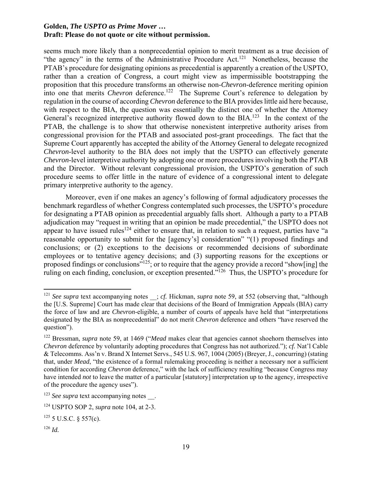seems much more likely than a nonprecedential opinion to merit treatment as a true decision of "the agency" in the terms of the Administrative Procedure Act.<sup>121</sup> Nonetheless, because the PTAB's procedure for designating opinions as precedential is apparently a creation of the USPTO, rather than a creation of Congress, a court might view as impermissible bootstrapping the proposition that this procedure transforms an otherwise non-*Chevron*-deference meriting opinion into one that merits *Chevron* deference.<sup>122</sup> The Supreme Court's reference to delegation by regulation in the course of according *Chevron* deference to the BIA provides little aid here because, with respect to the BIA, the question was essentially the distinct one of whether the Attorney General's recognized interpretive authority flowed down to the BIA.<sup>123</sup> In the context of the PTAB, the challenge is to show that otherwise nonexistent interpretive authority arises from congressional provision for the PTAB and associated post-grant proceedings. The fact that the Supreme Court apparently has accepted the ability of the Attorney General to delegate recognized *Chevron*-level authority to the BIA does not imply that the USPTO can effectively generate *Chevron*-level interpretive authority by adopting one or more procedures involving both the PTAB and the Director. Without relevant congressional provision, the USPTO's generation of such procedure seems to offer little in the nature of evidence of a congressional intent to delegate primary interpretive authority to the agency.

Moreover, even if one makes an agency's following of formal adjudicatory processes the benchmark regardless of whether Congress contemplated such processes, the USPTO's procedure for designating a PTAB opinion as precedential arguably falls short. Although a party to a PTAB adjudication may "request in writing that an opinion be made precedential," the USPTO does not appear to have issued rules<sup>124</sup> either to ensure that, in relation to such a request, parties have "a reasonable opportunity to submit for the [agency's] consideration" "(1) proposed findings and conclusions; or (2) exceptions to the decisions or recommended decisions of subordinate employees or to tentative agency decisions; and (3) supporting reasons for the exceptions or proposed findings or conclusions"<sup>125</sup>; or to require that the agency provide a record "show[ing] the ruling on each finding, conclusion, or exception presented."126 Thus, the USPTO's procedure for

<sup>&</sup>lt;sup>121</sup> See supra text accompanying notes \_\_; *cf.* Hickman, *supra* note 59, at 552 (observing that, "although the [U.S. Supreme] Court has made clear that decisions of the Board of Immigration Appeals (BIA) carry the force of law and are *Chevron*-eligible, a number of courts of appeals have held that "interpretations designated by the BIA as nonprecedential" do not merit *Chevron* deference and others "have reserved the question").

<sup>122</sup> Bressman, *supra* note 59, at 1469 ("*Mead* makes clear that agencies cannot shoehorn themselves into *Chevron* deference by voluntarily adopting procedures that Congress has not authorized."); *cf.* Nat'l Cable & Telecomms. Ass'n v. Brand X Internet Servs., 545 U.S. 967, 1004 (2005) (Breyer, J., concurring) (stating that, under *Mead*, "the existence of a formal rulemaking proceeding is neither a necessary nor a sufficient condition for according *Chevron* deference," with the lack of sufficiency resulting "because Congress may have intended *not* to leave the matter of a particular [statutory] interpretation up to the agency, irrespective of the procedure the agency uses").

<sup>&</sup>lt;sup>123</sup> *See supra* text accompanying notes .

<sup>124</sup> USPTO SOP 2, *supra* note 104, at 2-3.

 $125$  5 U.S.C. § 557(c).

<sup>126</sup> *Id.*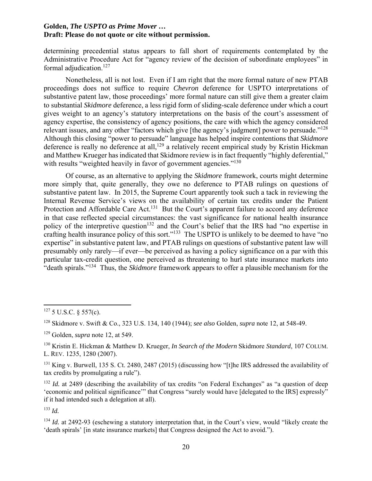determining precedential status appears to fall short of requirements contemplated by the Administrative Procedure Act for "agency review of the decision of subordinate employees" in formal adjudication. $127$ 

Nonetheless, all is not lost. Even if I am right that the more formal nature of new PTAB proceedings does not suffice to require *Chevron* deference for USPTO interpretations of substantive patent law, those proceedings' more formal nature can still give them a greater claim to substantial *Skidmore* deference, a less rigid form of sliding-scale deference under which a court gives weight to an agency's statutory interpretations on the basis of the court's assessment of agency expertise, the consistency of agency positions, the care with which the agency considered relevant issues, and any other "factors which give [the agency's judgment] power to persuade."128 Although this closing "power to persuade" language has helped inspire contentions that *Skidmore* deference is really no deference at all,<sup>129</sup> a relatively recent empirical study by Kristin Hickman and Matthew Krueger has indicated that Skidmore review is in fact frequently "highly deferential," with results "weighted heavily in favor of government agencies."<sup>130</sup>

Of course, as an alternative to applying the *Skidmore* framework, courts might determine more simply that, quite generally, they owe no deference to PTAB rulings on questions of substantive patent law. In 2015, the Supreme Court apparently took such a tack in reviewing the Internal Revenue Service's views on the availability of certain tax credits under the Patient Protection and Affordable Care Act.<sup>131</sup> But the Court's apparent failure to accord any deference in that case reflected special circumstances: the vast significance for national health insurance policy of the interpretive question<sup>132</sup> and the Court's belief that the IRS had "no expertise in crafting health insurance policy of this sort."133 The USPTO is unlikely to be deemed to have "no expertise" in substantive patent law, and PTAB rulings on questions of substantive patent law will presumably only rarely—if ever—be perceived as having a policy significance on a par with this particular tax-credit question, one perceived as threatening to hurl state insurance markets into "death spirals."134 Thus, the *Skidmore* framework appears to offer a plausible mechanism for the

<sup>133</sup> *Id.*

 $127$  5 U.S.C. § 557(c).

<sup>128</sup> Skidmore v. Swift & Co., 323 U.S. 134, 140 (1944); *see also* Golden, *supra* note 12, at 548-49.

<sup>129</sup> Golden, *supra* note 12, at 549.

<sup>130</sup> Kristin E. Hickman & Matthew D. Krueger, *In Search of the Modern* Skidmore *Standard*, 107 COLUM. L. REV. 1235, 1280 (2007).

<sup>&</sup>lt;sup>131</sup> King v. Burwell, 135 S. Ct. 2480, 2487 (2015) (discussing how "[t]he IRS addressed the availability of tax credits by promulgating a rule").

<sup>&</sup>lt;sup>132</sup> *Id.* at 2489 (describing the availability of tax credits "on Federal Exchanges" as "a question of deep 'economic and political significance'" that Congress "surely would have [delegated to the IRS] expressly" if it had intended such a delegation at all).

<sup>&</sup>lt;sup>134</sup> *Id.* at 2492-93 (eschewing a statutory interpretation that, in the Court's view, would "likely create the 'death spirals' [in state insurance markets] that Congress designed the Act to avoid.").